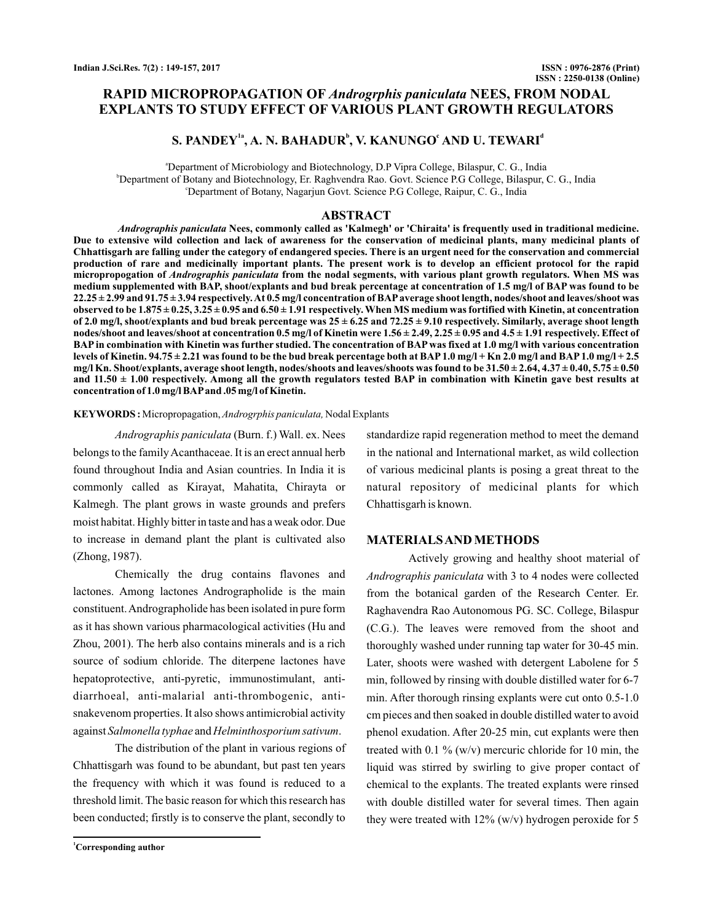## **RAPID MICROPROPAGATION OF Androgrphis paniculata NEES, FROM NODAL EXPLANTS TO STUDY EFFECT OF VARIOUS PLANT GROWTH REGULATORS**

## S. PANDEY<sup>1a</sup>, A. N. BAHADUR<sup>b</sup>, V. KANUNGO<sup>c</sup> AND U. TEWARI<sup>d</sup>

a Department of Microbiology and Biotechnology, D.P Vipra College, Bilaspur, C. G., India b Department of Botany and Biotechnology, Er. Raghvendra Rao. Govt. Science P.G College, Bilaspur, C. G., India c Department of Botany, Nagarjun Govt. Science P.G College, Raipur, C. G., India

#### **ABSTRACT**

*Andrographis paniculata* Nees, commonly called as 'Kalmegh' or 'Chiraita' is frequently used in traditional medicine. **Due to extensive wild collection and lack of awareness for the conservation of medicinal plants, many medicinal plants of Chhattisgarh are falling under the category of endangered species. There is an urgent need for the conservation and commercial production of rare and medicinally important plants. The present work is to develop an efficient protocol for the rapid** micropropogation of *Andrographis paniculata* from the nodal segments, with various plant growth regulators. When MS was **medium supplemented with BAP, shoot/explants and bud break percentage at concentration of 1.5 mg/l of BAP was found to be 22.25 ± 2.99 and 91.75 ± 3.94 respectively.At 0.5 mg/l concentration of BAP average shoot length, nodes/shoot and leaves/shoot was** observed to be  $1.875 \pm 0.25$ ,  $3.25 \pm 0.95$  and  $6.50 \pm 1.91$  respectively. When MS medium was fortified with Kinetin, at concentration **of 2.0 mg/l, shoot/explants and bud break percentage was 25 ± 6.25 and 72.25 ± 9.10 respectively. Similarly, average shoot length nodes/shoot and leaves/shoot at concentration 0.5 mg/l of Kinetin were 1.56 ± 2.49, 2.25 ± 0.95 and 4.5 ± 1.91 respectively. Effect of BAP in combination with Kinetin was further studied. The concentration of BAP was fixed at 1.0 mg/l with various concentration levels of Kinetin. 94.75 ± 2.21 was found to be the bud break percentage both at BAP 1.0 mg/l + Kn 2.0 mg/l and BAP 1.0 mg/l + 2.5 mg/l Kn. Shoot/explants, average shoot length, nodes/shoots and leaves/shoots was found to be 31.50 ± 2.64, 4.37 ± 0.40, 5.75 ± 0.50** and  $11.50 \pm 1.00$  respectively. Among all the growth regulators tested BAP in combination with Kinetin gave best results at **concentration of 1.0 mg/l BAPand .05 mg/l of Kinetin.**

#### KEYWORDS: Micropropagation, Androgrphis paniculata, Nodal Explants

(Burn. f.) Wall. ex. Nees *Andrographis paniculata* belongs to the family Acanthaceae. It is an erect annual herb found throughout India and Asian countries. In India it is commonly called as Kirayat, Mahatita, Chirayta or Kalmegh. The plant grows in waste grounds and prefers moist habitat. Highly bitter in taste and has a weak odor. Due to increase in demand plant the plant is cultivated also (Zhong, 1987).

Chemically the drug contains flavones and lactones. Among lactones Andrographolide is the main constituent.Andrographolide has been isolated in pure form as it has shown various pharmacological activities (Hu and Zhou, 2001). The herb also contains minerals and is a rich source of sodium chloride. The diterpene lactones have hepatoprotective, anti-pyretic, immunostimulant, antidiarrhoeal, anti-malarial anti-thrombogenic, antisnakevenom properties. It also shows antimicrobial activity against Salmonella typhae and Helminthosporium sativum.

The distribution of the plant in various regions of Chhattisgarh was found to be abundant, but past ten years the frequency with which it was found is reduced to a threshold limit. The basic reason for which this research has been conducted; firstly is to conserve the plant, secondly to

**<sup>1</sup>Corresponding author**

standardize rapid regeneration method to meet the demand in the national and International market, as wild collection of various medicinal plants is posing a great threat to the natural repository of medicinal plants for which Chhattisgarh is known.

#### **MATERIALSANDMETHODS**

Actively growing and healthy shoot material of Andrographis paniculata with 3 to 4 nodes were collected from the botanical garden of the Research Center. Er. Raghavendra Rao Autonomous PG. SC. College, Bilaspur (C.G.). The leaves were removed from the shoot and thoroughly washed under running tap water for 30-45 min. Later, shoots were washed with detergent Labolene for 5 min, followed by rinsing with double distilled water for 6-7 min. After thorough rinsing explants were cut onto 0.5-1.0 cm pieces and then soaked in double distilled water to avoid phenol exudation. After 20-25 min, cut explants were then treated with 0.1 % (w/v) mercuric chloride for 10 min, the liquid was stirred by swirling to give proper contact of chemical to the explants. The treated explants were rinsed with double distilled water for several times. Then again they were treated with  $12\%$  (w/v) hydrogen peroxide for 5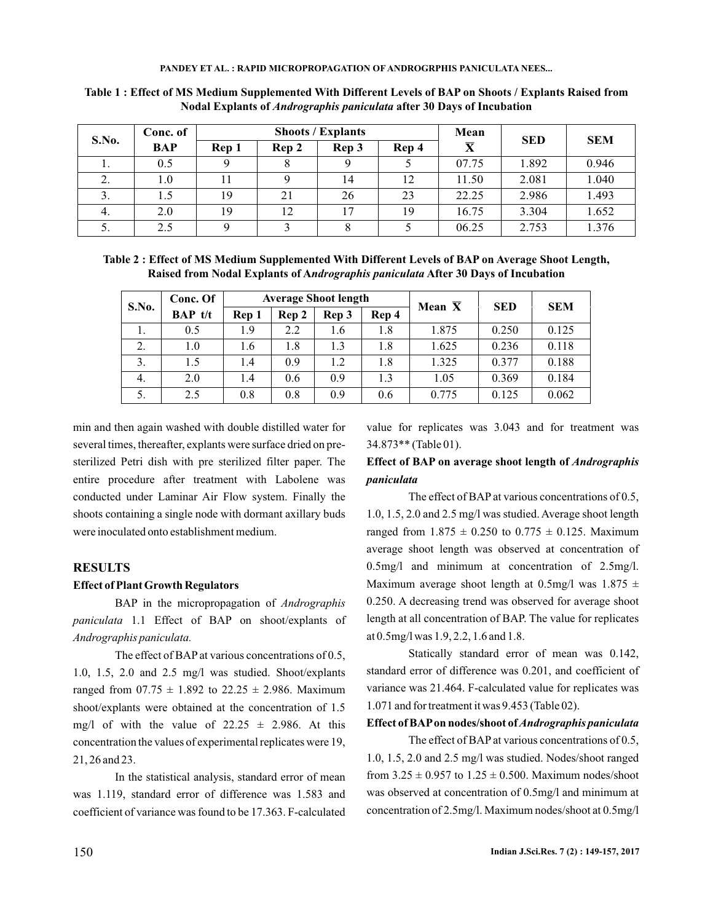|       | Conc. of   |       |    | <b>Shoots / Explants</b> | Mean |                         |            |            |  |
|-------|------------|-------|----|--------------------------|------|-------------------------|------------|------------|--|
| S.No. | <b>BAP</b> | Rep 1 |    | Rep 3<br>Rep 4<br>Rep 2  |      | $\overline{\textbf{X}}$ | <b>SED</b> | <b>SEM</b> |  |
| .,    | 0.5        | Q     | 8  | Q                        |      | 07.75                   | 1.892      | 0.946      |  |
| 2.    | 0.1        |       |    | 14                       | 12   | 11.50                   | 2.081      | 1.040      |  |
| 3.    | 1.5        | 19    | 21 | 26                       | 23   | 22.25                   | 2.986      | 1.493      |  |
| 4.    | 2.0        | 19    | 12 | 17                       | 19   | 16.75                   | 3.304      | 1.652      |  |
| 5.    | 2.5        |       | 2  | 8                        |      | 06.25                   | 2.753      | 1.376      |  |

**Table 1 : Effect of MS Medium Supplemented With Different Levels of BAP on Shoots / Explants Raised from** Nodal Explants of *Andrographis paniculata* after 30 Days of Incubation

**Table 2 : Effect of MS Medium Supplemented With Different Levels of BAP on Average Shoot Length,** Raised from Nodal Explants of Andrographis paniculata After 30 Days of Incubation

| S.No. | Conc. Of  |       |       | <b>Average Shoot length</b> |       | Mean $\overline{X}$ | <b>SED</b> | <b>SEM</b> |
|-------|-----------|-------|-------|-----------------------------|-------|---------------------|------------|------------|
|       | $BAP$ t/t | Rep 1 | Rep 2 | Rep 3                       | Rep 4 |                     |            |            |
| 1.    | 0.5       | 1.9   | 2.2   | 1.6                         | 1.8   | 1.875               | 0.250      | 0.125      |
| 2.    | 1.0       | 1.6   | 1.8   | 1.3                         | 1.8   | 1.625               | 0.236      | 0.118      |
| 3.    | 1.5       | 1.4   | 0.9   | 1.2                         | 1.8   | 1.325               | 0.377      | 0.188      |
| 4.    | 2.0       | 1.4   | 0.6   | 0.9                         | 1.3   | 1.05                | 0.369      | 0.184      |
| 5.    | 2.5       | 0.8   | 0.8   | 0.9                         | 0.6   | 0.775               | 0.125      | 0.062      |

min and then again washed with double distilled water for several times, thereafter, explants were surface dried on presterilized Petri dish with pre sterilized filter paper. The entire procedure after treatment with Labolene was conducted under Laminar Air Flow system. Finally the shoots containing a single node with dormant axillary buds were inoculated onto establishment medium.

### **RESULTS**

#### **Effect of Plant Growth Regulators**

BAP in the micropropagation of *Andrographis* 1.1 Effect of BAP on shoot/explants of *paniculata Andrographis paniculata.*

The effect of BAP at various concentrations of 0.5, 1.0, 1.5, 2.0 and 2.5 mg/l was studied. Shoot/explants ranged from  $07.75 \pm 1.892$  to  $22.25 \pm 2.986$ . Maximum shoot/explants were obtained at the concentration of 1.5 mg/l of with the value of  $22.25 \pm 2.986$ . At this concentration the values of experimental replicates were 19, 21, 26 and 23.

In the statistical analysis, standard error of mean was 1.119, standard error of difference was 1.583 and coefficient of variance was found to be 17.363. F-calculated value for replicates was 3.043 and for treatment was 34.873\*\* (Table 01).

### **Effect of BAP on average shoot length of** *Andrographis paniculata*

The effect of BAP at various concentrations of 0.5, 1.0, 1.5, 2.0 and 2.5 mg/l was studied. Average shoot length ranged from  $1.875 \pm 0.250$  to  $0.775 \pm 0.125$ . Maximum average shoot length was observed at concentration of 0.5mg/l and minimum at concentration of 2.5mg/l. Maximum average shoot length at 0.5mg/l was  $1.875 \pm$ 0.250. A decreasing trend was observed for average shoot length at all concentration of BAP. The value for replicates at 0.5mg/l was 1.9, 2.2, 1.6 and 1.8.

Statically standard error of mean was 0.142, standard error of difference was 0.201, and coefficient of variance was 21.464. F-calculated value for replicates was 1.071 and for treatment it was 9.453 (Table 02).

#### **Effect of BAPon nodes/shoot of** *Andrographis paniculata*

The effect of BAP at various concentrations of 0.5, 1.0, 1.5, 2.0 and 2.5 mg/l was studied. Nodes/shoot ranged from  $3.25 \pm 0.957$  to  $1.25 \pm 0.500$ . Maximum nodes/shoot was observed at concentration of 0.5mg/l and minimum at concentration of 2.5mg/l. Maximum nodes/shoot at 0.5mg/l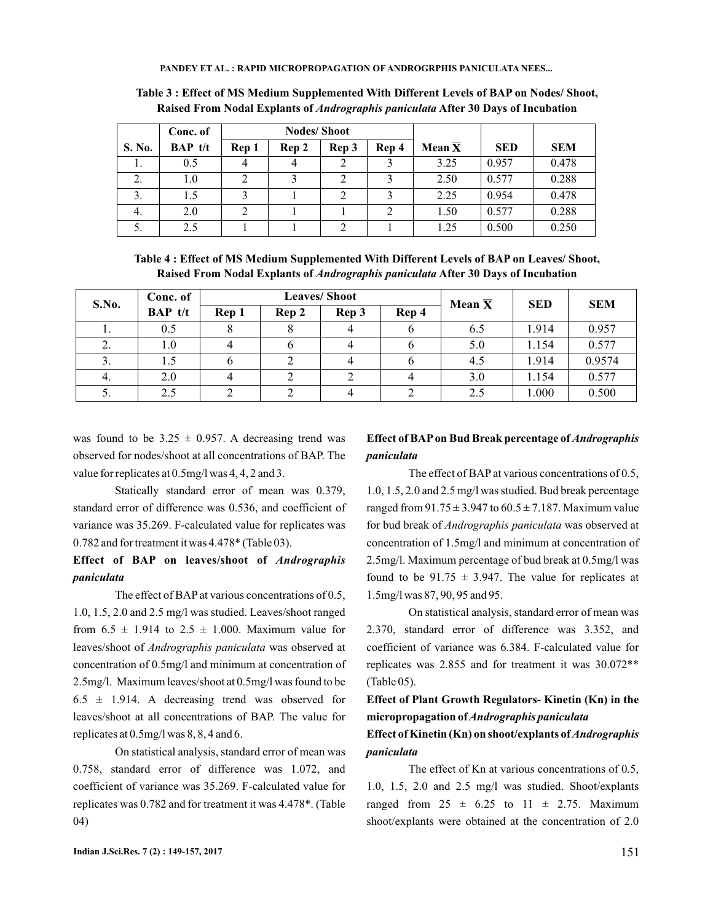|        | Conc. of  |       | <b>Nodes/Shoot</b> |       |       |                     |            |            |
|--------|-----------|-------|--------------------|-------|-------|---------------------|------------|------------|
| S. No. | $BAP$ t/t | Rep 1 | Rep 2              | Rep 3 | Rep 4 | Mean $\overline{X}$ | <b>SED</b> | <b>SEM</b> |
|        | 0.5       |       |                    |       | 2     | 3.25                | 0.957      | 0.478      |
| 2.     | $1.0\,$   |       |                    |       |       | 2.50                | 0.577      | 0.288      |
| 3.     | 1.5       |       |                    |       |       | 2.25                | 0.954      | 0.478      |
| 4.     | 2.0       | ◠     |                    |       |       | 1.50                | 0.577      | 0.288      |
| J.     | 2.5       |       |                    |       |       | 1.25                | 0.500      | 0.250      |

**Table 3 : Effect of MS Medium Supplemented With Different Levels of BAP on Nodes/ Shoot,** Raised From Nodal Explants of *Andrographis paniculata* After 30 Days of Incubation

**Table 4 : Effect of MS Medium Supplemented With Different Levels of BAP on Leaves/ Shoot,** Raised From Nodal Explants of *Andrographis paniculata* After 30 Days of Incubation

| S.No. | Conc. of       | <b>Leaves/Shoot</b> |                         |                | Mean $\overline{X}$ | <b>SED</b> | <b>SEM</b> |        |
|-------|----------------|---------------------|-------------------------|----------------|---------------------|------------|------------|--------|
|       | <b>BAP</b> t/t | Rep 1               | Rep 4<br>Rep 3<br>Rep 2 |                |                     |            |            |        |
| 1.    | 0.5            |                     |                         | $\overline{4}$ |                     | 6.5        | 1.914      | 0.957  |
| 2.    | $1.0\,$        | 4                   | O                       | 4              | o                   | 5.0        | 1.154      | 0.577  |
| 3.    | 1.5            | O                   |                         |                |                     | 4.5        | 1.914      | 0.9574 |
| 4.    | 2.0            | 4                   |                         |                |                     | 3.0        | 1.154      | 0.577  |
| J.    | 2.5            |                     |                         |                |                     | 2.5        | 1.000      | 0.500  |

was found to be  $3.25 \pm 0.957$ . A decreasing trend was observed for nodes/shoot at all concentrations of BAP. The value for replicates at 0.5mg/l was 4, 4, 2 and 3.

Statically standard error of mean was 0.379, standard error of difference was 0.536, and coefficient of variance was 35.269. F-calculated value for replicates was 0.782 and for treatment it was 4.478\* (Table 03).

**Effect of BAP on leaves/shoot of** *Andrographis paniculata*

The effect of BAP at various concentrations of 0.5, 1.0, 1.5, 2.0 and 2.5 mg/l was studied. Leaves/shoot ranged from  $6.5 \pm 1.914$  to  $2.5 \pm 1.000$ . Maximum value for leaves/shoot of *Andrographis paniculata* was observed at concentration of 0.5mg/l and minimum at concentration of 2.5mg/l. Maximum leaves/shoot at 0.5mg/l was found to be  $6.5 \pm 1.914$ . A decreasing trend was observed for leaves/shoot at all concentrations of BAP. The value for replicates at 0.5mg/l was 8, 8, 4 and 6.

On statistical analysis, standard error of mean was 0.758, standard error of difference was 1.072, and coefficient of variance was 35.269. F-calculated value for replicates was 0.782 and for treatment it was 4.478\*. (Table 04)

## **Effect of BAP on Bud Break percentage of** *Andrographis paniculata*

The effect of BAP at various concentrations of 0.5, 1.0, 1.5, 2.0 and 2.5 mg/l was studied. Bud break percentage ranged from  $91.75 \pm 3.947$  to  $60.5 \pm 7.187$ . Maximum value for bud break of Andrographis paniculata was observed at concentration of 1.5mg/l and minimum at concentration of 2.5mg/l. Maximum percentage of bud break at 0.5mg/l was found to be  $91.75 \pm 3.947$ . The value for replicates at 1.5mg/l was 87, 90, 95 and 95.

On statistical analysis, standard error of mean was 2.370, standard error of difference was 3.352, and coefficient of variance was 6.384. F-calculated value for replicates was 2.855 and for treatment it was 30.072\*\* (Table 05).

**Effect of Plant Growth Regulators- Kinetin (Kn) in the micropropagation of** *Andrographis paniculata*

### **Effect of Kinetin (Kn) on shoot/explants of** *Andrographis paniculata*

The effect of Kn at various concentrations of 0.5, 1.0, 1.5, 2.0 and 2.5 mg/l was studied. Shoot/explants ranged from  $25 \pm 6.25$  to  $11 \pm 2.75$ . Maximum shoot/explants were obtained at the concentration of 2.0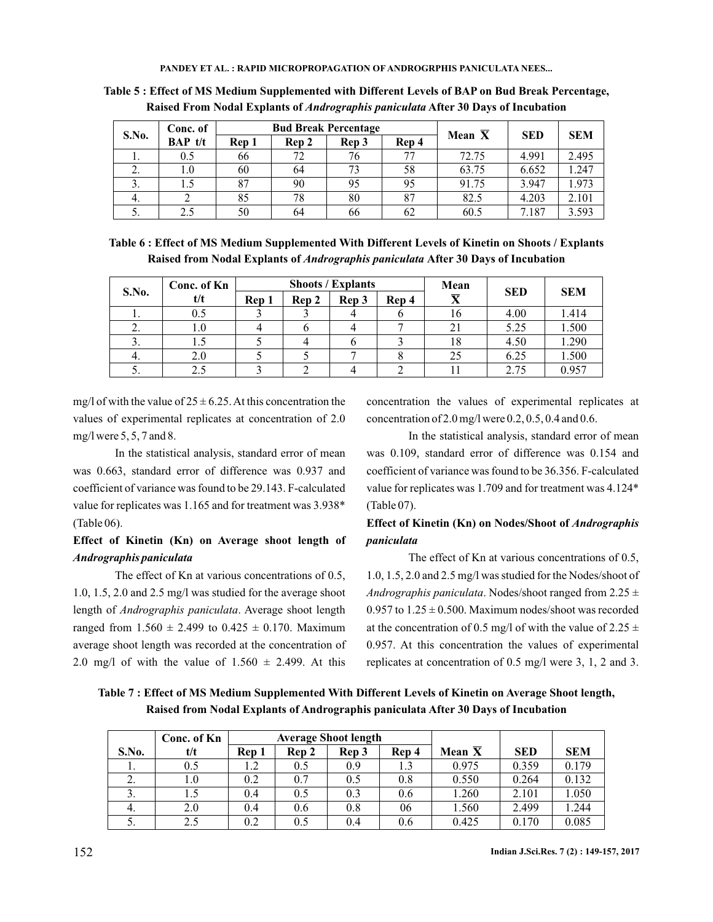| S.No. | Conc. of  |       |       | <b>Bud Break Percentage</b> | Mean $\overline{X}$ | <b>SED</b> | <b>SEM</b> |       |
|-------|-----------|-------|-------|-----------------------------|---------------------|------------|------------|-------|
|       | $BAP$ t/t | Rep 1 | Rep 2 | Rep 3                       | Rep 4               |            |            |       |
| .,    | 0.5       | 66    | 72    | 76                          | 77                  | 72.75      | 4.991      | 2.495 |
|       | 1.0       | 60    | 64    | 73                          | 58                  | 63.75      | 6.652      | 1.247 |
| 3.    |           | 87    | 90    | 95                          | 95                  | 91.75      | 3.947      | 1.973 |
| 4.    |           | 85    | 78    | 80                          | 87                  | 82.5       | 4.203      | 2.101 |
| 5.    | 2.5       | 50    | 64    | 66                          | 62                  | 60.5       | 7.187      | 3.593 |

**Table 5 : Effect of MS Medium Supplemented with Different Levels of BAP on Bud Break Percentage,** Raised From Nodal Explants of *Andrographis paniculata* After 30 Days of Incubation

| Table 6: Effect of MS Medium Supplemented With Different Levels of Kinetin on Shoots / Explants |
|-------------------------------------------------------------------------------------------------|
| Raised from Nodal Explants of <i>Andrographis paniculata</i> After 30 Days of Incubation        |

|       | Conc. of Kn |       |       | <b>Shoots / Explants</b> |       | Mean                    |            |            |
|-------|-------------|-------|-------|--------------------------|-------|-------------------------|------------|------------|
| S.No. | t/t         | Rep 1 | Rep 2 | Rep 3                    | Rep 4 | $\overline{\mathbf{X}}$ | <b>SED</b> | <b>SEM</b> |
| .,    | 0.5         |       |       |                          |       | 16                      | 4.00       | 1.414      |
| z.    | 1.0         |       |       |                          |       | 21                      | 5.25       | 1.500      |
| J.    |             |       |       |                          |       | 18                      | 4.50       | 1.290      |
| 4.    | 2.0         |       |       |                          |       | 25                      | 6.25       | 1.500      |
| J.    |             |       |       |                          |       |                         | 2.75       | 0.957      |

mg/l of with the value of  $25 \pm 6.25$ . At this concentration the values of experimental replicates at concentration of 2.0 mg/l were 5, 5, 7 and 8.

In the statistical analysis, standard error of mean was 0.663, standard error of difference was 0.937 and coefficient of variance was found to be 29.143. F-calculated value for replicates was 1.165 and for treatment was 3.938\* (Table 06).

## **Effect of Kinetin (Kn) on Average shoot length of** *Andrographis paniculata*

The effect of Kn at various concentrations of 0.5, 1.0, 1.5, 2.0 and 2.5 mg/l was studied for the average shoot length of *Andrographis paniculata*. Average shoot length ranged from  $1.560 \pm 2.499$  to  $0.425 \pm 0.170$ . Maximum average shoot length was recorded at the concentration of 2.0 mg/l of with the value of  $1.560 \pm 2.499$ . At this

concentration the values of experimental replicates at concentration of 2.0 mg/l were 0.2, 0.5, 0.4 and 0.6.

In the statistical analysis, standard error of mean was 0.109, standard error of difference was 0.154 and coefficient of variance was found to be 36.356. F-calculated value for replicates was 1.709 and for treatment was 4.124\* (Table 07).

# **Effect of Kinetin (Kn) on Nodes/Shoot of** *Andrographis paniculata*

The effect of Kn at various concentrations of 0.5, 1.0, 1.5, 2.0 and 2.5 mg/l was studied for the Nodes/shoot of Andrographis paniculata. Nodes/shoot ranged from 2.25  $\pm$ 0.957 to  $1.25 \pm 0.500$ . Maximum nodes/shoot was recorded at the concentration of 0.5 mg/l of with the value of 2.25  $\pm$ 0.957. At this concentration the values of experimental replicates at concentration of 0.5 mg/l were 3, 1, 2 and 3.

**Table 7 : Effect of MS Medium Supplemented With Different Levels of Kinetin on Average Shoot length, Raised from Nodal Explants of Andrographis paniculata After 30 Days of Incubation**

|       | Conc. of Kn |       |       | <b>Average Shoot length</b> |       |          |            |            |
|-------|-------------|-------|-------|-----------------------------|-------|----------|------------|------------|
| S.No. | t/t         | Rep 1 | Rep 2 | Rep 3                       | Rep 4 | Mean $X$ | <b>SED</b> | <b>SEM</b> |
| .,    | 0.5         | 1.2   | 0.5   | 0.9                         | 1.3   | 0.975    | 0.359      | 0.179      |
| 2.    | 1.0         | 0.2   | 0.7   | 0.5                         | 0.8   | 0.550    | 0.264      | 0.132      |
| 3.    |             | 0.4   | 0.5   | 0.3                         | 0.6   | 1.260    | 2.101      | 1.050      |
| 4.    | 2.0         | 0.4   | 0.6   | 0.8                         | 06    | 1.560    | 2.499      | 1.244      |
| J.    | 2.5         | 0.2   | 0.5   | 0.4                         | 0.6   | 0.425    | 0.170      | 0.085      |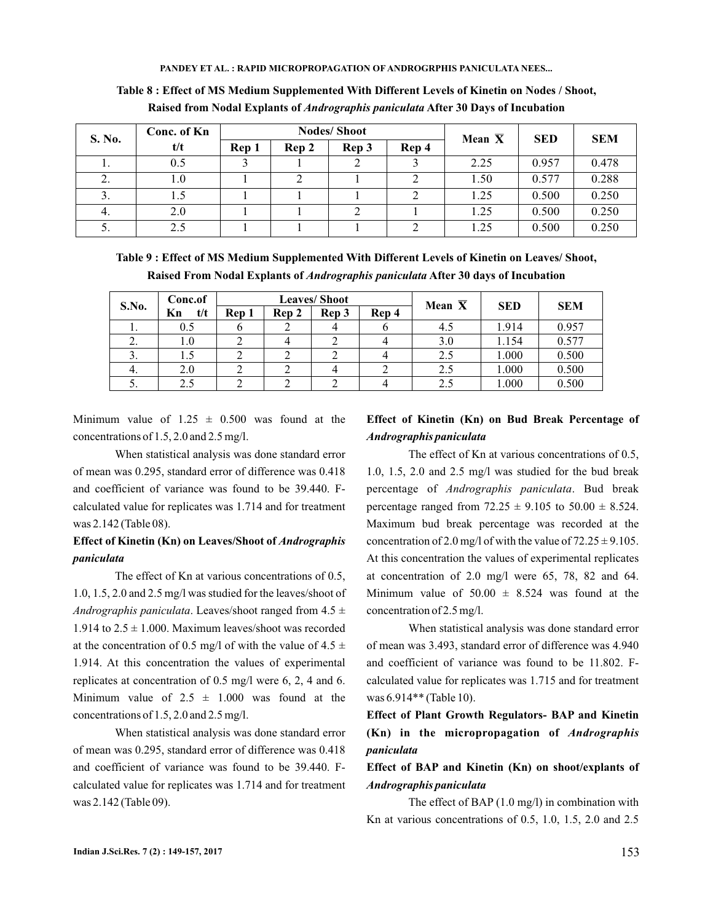| S. No. | Conc. of Kn |       |       | <b>Nodes/Shoot</b> | Mean $\overline{X}$ | <b>SED</b> | <b>SEM</b> |       |  |
|--------|-------------|-------|-------|--------------------|---------------------|------------|------------|-------|--|
|        | t/t         | Rep 1 | Rep 2 | Rep 3              | Rep 4               |            |            |       |  |
| .,     | 0.5         |       |       |                    |                     | 2.25       | 0.957      | 0.478 |  |
|        | 1.0         |       |       |                    |                     | 1.50       | 0.577      | 0.288 |  |
| 3.     |             |       |       |                    |                     | 1.25       | 0.500      | 0.250 |  |
| 4.     | 2.0         |       |       |                    |                     | 1.25       | 0.500      | 0.250 |  |
| . ب    | 2.5         |       |       |                    |                     | 1.25       | 0.500      | 0.250 |  |

**Table 8 : Effect of MS Medium Supplemented With Different Levels of Kinetin on Nodes / Shoot,** Raised from Nodal Explants of *Andrographis paniculata* After 30 Days of Incubation

**Table 9 : Effect of MS Medium Supplemented With Different Levels of Kinetin on Leaves/ Shoot,** Raised From Nodal Explants of *Andrographis paniculata* After 30 days of Incubation

| S.No. | Conc.of   |                                  | <b>Leaves/Shoot</b> |  | Mean $\overline{X}$ | <b>SED</b> | <b>SEM</b> |
|-------|-----------|----------------------------------|---------------------|--|---------------------|------------|------------|
|       | Kn<br>t/t | Rep 4<br>Rep 3<br>Rep 1<br>Rep 2 |                     |  |                     |            |            |
| ı.    | 0.5       |                                  |                     |  | 4.5                 | 1.914      | 0.957      |
|       | $1.0\,$   |                                  |                     |  | 3.0                 | 1.154      | 0.577      |
| э.    | 1.5       |                                  |                     |  | 2.5                 | 1.000      | 0.500      |
| 4.    | 2.0       |                                  |                     |  | 2.5                 | 1.000      | 0.500      |
| J.    | 2.5       |                                  |                     |  | 2.5                 | 1.000      | 0.500      |

Minimum value of  $1.25 \pm 0.500$  was found at the concentrations of 1.5, 2.0 and 2.5 mg/l.

When statistical analysis was done standard error of mean was 0.295, standard error of difference was 0.418 and coefficient of variance was found to be 39.440. Fcalculated value for replicates was 1.714 and for treatment was 2.142 (Table 08).

## **Effect of Kinetin (Kn) on Leaves/Shoot of** *Andrographis paniculata*

The effect of Kn at various concentrations of 0.5, 1.0, 1.5, 2.0 and 2.5 mg/l was studied for the leaves/shoot of Andrographis paniculata. Leaves/shoot ranged from 4.5  $\pm$ 1.914 to  $2.5 \pm 1.000$ . Maximum leaves/shoot was recorded at the concentration of 0.5 mg/l of with the value of 4.5  $\pm$ 1.914. At this concentration the values of experimental replicates at concentration of 0.5 mg/l were 6, 2, 4 and 6. Minimum value of  $2.5 \pm 1.000$  was found at the concentrations of 1.5, 2.0 and 2.5 mg/l.

When statistical analysis was done standard error of mean was 0.295, standard error of difference was 0.418 and coefficient of variance was found to be 39.440. Fcalculated value for replicates was 1.714 and for treatment was 2.142 (Table 09).

## **Effect of Kinetin (Kn) on Bud Break Percentage of** *Andrographis paniculata*

The effect of Kn at various concentrations of 0.5, 1.0, 1.5, 2.0 and 2.5 mg/l was studied for the bud break percentage of Andrographis paniculata. Bud break percentage ranged from  $72.25 \pm 9.105$  to  $50.00 \pm 8.524$ . Maximum bud break percentage was recorded at the concentration of 2.0 mg/l of with the value of  $72.25 \pm 9.105$ . At this concentration the values of experimental replicates at concentration of 2.0 mg/l were 65, 78, 82 and 64. Minimum value of  $50.00 \pm 8.524$  was found at the concentration of 2.5 mg/l.

When statistical analysis was done standard error of mean was 3.493, standard error of difference was 4.940 and coefficient of variance was found to be 11.802. Fcalculated value for replicates was 1.715 and for treatment was 6.914\*\* (Table 10).

**Effect of Plant Growth Regulators- BAP and Kinetin (Kn) in the micropropagation of** *Andrographis paniculata*

## **Effect of BAP and Kinetin (Kn) on shoot/explants of** *Andrographis paniculata*

The effect of BAP (1.0 mg/l) in combination with Kn at various concentrations of 0.5, 1.0, 1.5, 2.0 and 2.5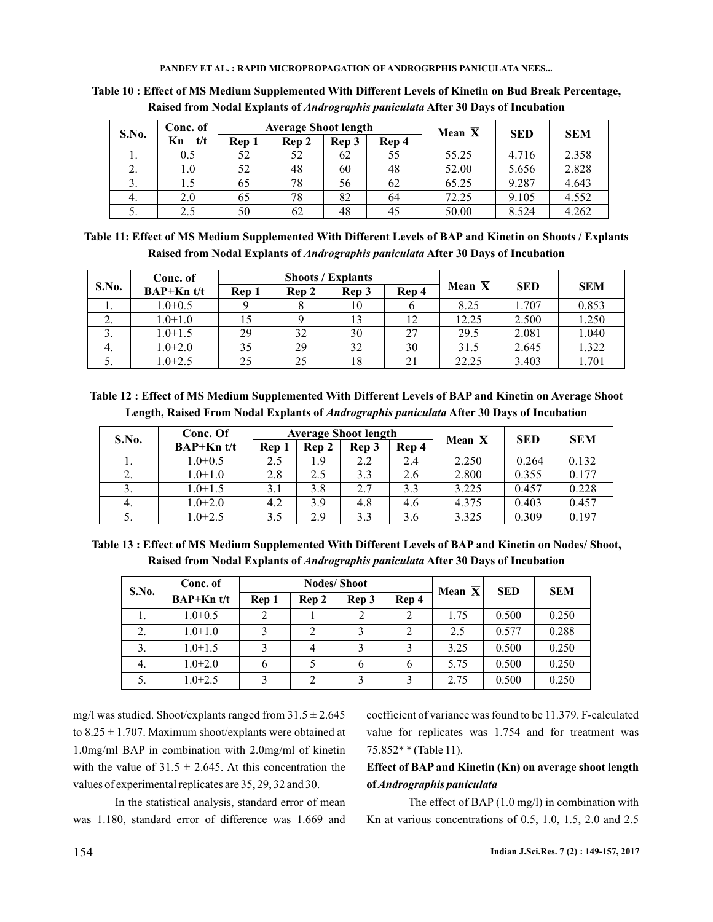| S.No. | Conc. of  |       | <b>Average Shoot length</b> |    |    | Mean $\overline{X}$ | <b>SED</b> | <b>SEM</b> |  |
|-------|-----------|-------|-----------------------------|----|----|---------------------|------------|------------|--|
|       | t/t<br>Кn | Rep 1 | Rep 3<br>Rep 4<br>Rep 2     |    |    |                     |            |            |  |
| .,    | 0.5       | 52    | 52                          | 62 | 55 | 55.25               | 4.716      | 2.358      |  |
| 2.    | 1.0       | 52    | 48                          | 60 | 48 | 52.00               | 5.656      | 2.828      |  |
| 3.    | 1.5       | 65    | 78                          | 56 | 62 | 65.25               | 9.287      | 4.643      |  |
| 4.    | 2.0       | 65    | 78                          | 82 | 64 | 72.25               | 9.105      | 4.552      |  |
| 5.    | 2.5       | 50    | 62                          | 48 | 45 | 50.00               | 8.524      | 4.262      |  |

**Table 10 : Effect of MS Medium Supplemented With Different Levels of Kinetin on Bud Break Percentage, Raised from Nodal Explants of After 30 Days of Incubation** *Andrographis paniculata*

| Table 11: Effect of MS Medium Supplemented With Different Levels of BAP and Kinetin on Shoots / Explants |
|----------------------------------------------------------------------------------------------------------|
| Raised from Nodal Explants of <i>Andrographis paniculata</i> After 30 Days of Incubation                 |

| S.No.         | Conc. of     |       |       | <b>Shoots / Explants</b> |       |                     |            |            |
|---------------|--------------|-------|-------|--------------------------|-------|---------------------|------------|------------|
|               | $BAP+Kn$ t/t | Rep 1 | Rep 2 | Rep 3                    | Rep 4 | Mean $\overline{X}$ | <b>SED</b> | <b>SEM</b> |
| 1.            | $1.0 + 0.5$  |       |       | 10                       |       | 8.25                | 1.707      | 0.853      |
| z.            | $1.0 + 1.0$  |       |       |                          |       | 12.25               | 2.500      | 1.250      |
| $\mathcal{L}$ | $1.0 + 1.5$  | 29    | 32    | 30                       | 27    | 29.5                | 2.081      | 1.040      |
| 4.            | $1.0 + 2.0$  | 35    | 29    | 32                       | 30    | 31.5                | 2.645      | 1.322      |
| C.            | $1.0 + 2.5$  | 25    | 25    | 18                       |       | 22.25               | 3.403      | 1.701      |

**Table 12 : Effect of MS Medium Supplemented With Different Levels of BAP and Kinetin on Average Shoot** Length, Raised From Nodal Explants of *Andrographis paniculata* After 30 Days of Incubation

| S.No. | Conc. Of     |       |       | <b>Average Shoot length</b> |       | Mean $\overline{X}$ | <b>SED</b> | <b>SEM</b> |
|-------|--------------|-------|-------|-----------------------------|-------|---------------------|------------|------------|
|       | $BAP+Kn$ t/t | Rep 1 | Rep 2 | Rep 3                       | Rep 4 |                     |            |            |
| 1.    | $1.0 + 0.5$  | 2.5   | 1.9   | 2.2                         | 2.4   | 2.250               | 0.264      | 0.132      |
| 2.    | $1.0 + 1.0$  | 2.8   | 2.5   | 3.3                         | 2.6   | 2.800               | 0.355      | 0.177      |
| 3.    | $1.0 + 1.5$  | 3.1   | 3.8   | 2.7                         | 3.3   | 3.225               | 0.457      | 0.228      |
| 4.    | $1.0 + 2.0$  | 4.2   | 3.9   | 4.8                         | 4.6   | 4.375               | 0.403      | 0.457      |
| 5.    | $1.0 + 2.5$  | 3.5   | 2.9   | 3.3                         | 3.6   | 3.325               | 0.309      | 0.197      |

**Table 13 : Effect of MS Medium Supplemented With Different Levels of BAP and Kinetin on Nodes/ Shoot, Raised from Nodal Explants of After 30 Days of Incubation** *Andrographis paniculata*

| S.No. | Conc. of     |       |                | <b>Nodes/Shoot</b> | Mean $\overline{X}$ | <b>SED</b> | <b>SEM</b> |       |
|-------|--------------|-------|----------------|--------------------|---------------------|------------|------------|-------|
|       | $BAP+Kn$ t/t | Rep 1 | Rep 2          | Rep 3              | Rep 4               |            |            |       |
|       | $1.0 + 0.5$  | ↑     |                | 2                  | 2                   | 1.75       | 0.500      | 0.250 |
| 2.    | $1.0 + 1.0$  |       |                | 3                  |                     | 2.5        | 0.577      | 0.288 |
| 3.    | $1.0 + 1.5$  |       | 4              |                    |                     | 3.25       | 0.500      | 0.250 |
| 4.    | $1.0 + 2.0$  | b     |                | b                  | 6                   | 5.75       | 0.500      | 0.250 |
| 5.    | $1.0 + 2.5$  |       | $\mathfrak{D}$ | 2                  |                     | 2.75       | 0.500      | 0.250 |

mg/l was studied. Shoot/explants ranged from  $31.5 \pm 2.645$ to  $8.25 \pm 1.707$ . Maximum shoot/explants were obtained at 1.0mg/ml BAP in combination with 2.0mg/ml of kinetin with the value of  $31.5 \pm 2.645$ . At this concentration the values of experimental replicates are 35, 29, 32 and 30.

In the statistical analysis, standard error of mean was 1.180, standard error of difference was 1.669 and coefficient of variance was found to be 11.379. F-calculated value for replicates was 1.754 and for treatment was 75.852\* \* (Table 11).

# **Effect of BAP and Kinetin (Kn) on average shoot length of***Andrographis paniculata*

The effect of BAP (1.0 mg/l) in combination with Kn at various concentrations of 0.5, 1.0, 1.5, 2.0 and 2.5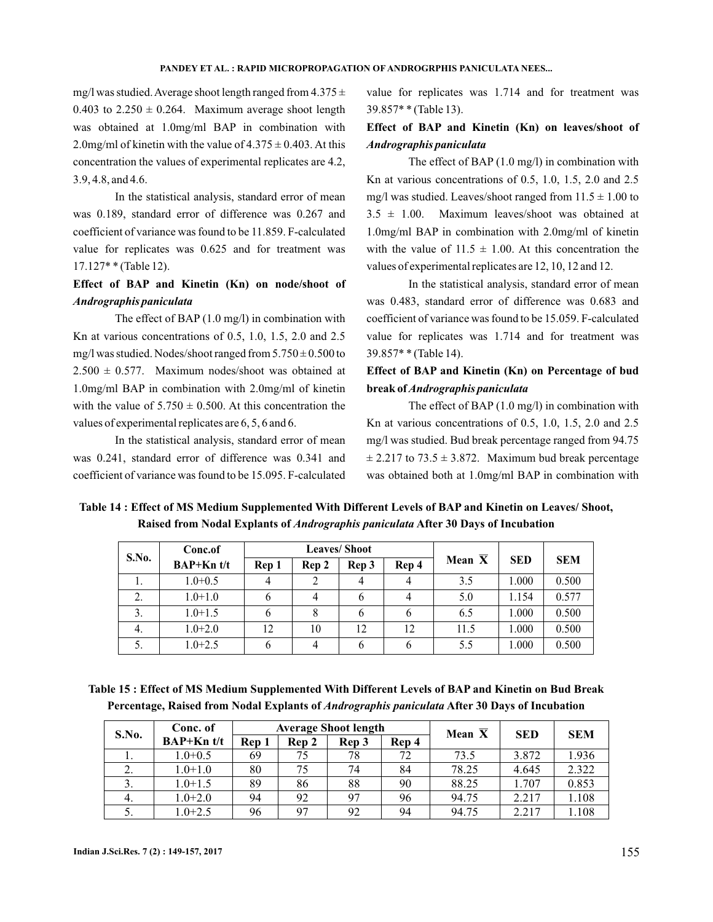mg/l was studied. Average shoot length ranged from  $4.375 \pm$ 0.403 to  $2.250 \pm 0.264$ . Maximum average shoot length was obtained at 1.0mg/ml BAP in combination with 2.0mg/ml of kinetin with the value of  $4.375 \pm 0.403$ . At this concentration the values of experimental replicates are 4.2, 3.9, 4.8, and 4.6.

In the statistical analysis, standard error of mean was 0.189, standard error of difference was 0.267 and coefficient of variance was found to be 11.859. F-calculated value for replicates was 0.625 and for treatment was 17.127\* \* (Table 12).

## **Effect of BAP and Kinetin (Kn) on node/shoot of** *Andrographis paniculata*

The effect of BAP (1.0 mg/l) in combination with Kn at various concentrations of 0.5, 1.0, 1.5, 2.0 and 2.5 mg/l was studied. Nodes/shoot ranged from  $5.750 \pm 0.500$  to  $2.500 \pm 0.577$ . Maximum nodes/shoot was obtained at 1.0mg/ml BAP in combination with 2.0mg/ml of kinetin with the value of  $5.750 \pm 0.500$ . At this concentration the values of experimental replicates are 6, 5, 6 and 6.

In the statistical analysis, standard error of mean was 0.241, standard error of difference was 0.341 and coefficient of variance was found to be 15.095. F-calculated value for replicates was 1.714 and for treatment was 39.857\* \* (Table 13).

# **Effect of BAP and Kinetin (Kn) on leaves/shoot of** *Andrographis paniculata*

The effect of BAP (1.0 mg/l) in combination with Kn at various concentrations of 0.5, 1.0, 1.5, 2.0 and 2.5 mg/l was studied. Leaves/shoot ranged from  $11.5 \pm 1.00$  to  $3.5 \pm 1.00$ . Maximum leaves/shoot was obtained at 1.0mg/ml BAP in combination with 2.0mg/ml of kinetin with the value of  $11.5 \pm 1.00$ . At this concentration the values of experimental replicates are 12, 10, 12 and 12.

In the statistical analysis, standard error of mean was 0.483, standard error of difference was 0.683 and coefficient of variance was found to be 15.059. F-calculated value for replicates was 1.714 and for treatment was 39.857\* \* (Table 14).

# **Effect of BAP and Kinetin (Kn) on Percentage of bud break of** *Andrographis paniculata*

The effect of BAP (1.0 mg/l) in combination with Kn at various concentrations of 0.5, 1.0, 1.5, 2.0 and 2.5 mg/l was studied. Bud break percentage ranged from 94.75  $\pm$  2.217 to 73.5  $\pm$  3.872. Maximum bud break percentage was obtained both at 1.0mg/ml BAP in combination with

**Table 14 : Effect of MS Medium Supplemented With Different Levels of BAP and Kinetin on Leaves/ Shoot,** Raised from Nodal Explants of *Andrographis paniculata* After 30 Days of Incubation

| S.No. | Conc.of      |       |       | <b>Leaves/Shoot</b> |              |                     |            |            |
|-------|--------------|-------|-------|---------------------|--------------|---------------------|------------|------------|
|       | $BAP+Kn$ t/t | Rep 1 | Rep 2 | Rep 3               | Rep 4        | Mean $\overline{X}$ | <b>SED</b> | <b>SEM</b> |
| 1.    | $1.0 + 0.5$  |       |       |                     |              | 3.5                 | 1.000      | 0.500      |
| 2.    | $1.0 + 1.0$  | b     |       |                     |              | 5.0                 | 1.154      | 0.577      |
| 3.    | $1.0 + 1.5$  | 6     | 8     | O                   | <sub>0</sub> | 6.5                 | 1.000      | 0.500      |
| 4.    | $1.0 + 2.0$  | 12    | 10    | 12                  | 12           | 11.5                | 1.000      | 0.500      |
| 5.    | $1.0 + 2.5$  | 6     |       |                     | b            | 5.5                 | 1.000      | 0.500      |

**Table 15 : Effect of MS Medium Supplemented With Different Levels of BAP and Kinetin on Bud Break** Percentage, Raised from Nodal Explants of *Andrographis paniculata* After 30 Days of Incubation

| S.No. | Conc. of     |       |       | <b>Average Shoot length</b> | Mean $\overline{X}$ | <b>SED</b> | <b>SEM</b> |       |
|-------|--------------|-------|-------|-----------------------------|---------------------|------------|------------|-------|
|       | $BAP+Kn$ t/t | Rep 1 | Rep 2 | Rep 3                       | Rep 4               |            |            |       |
|       | $1.0 + 0.5$  | 69    | 75    | 78                          | 72                  | 73.5       | 3.872      | 1.936 |
| ۷.    | $1.0 + 1.0$  | 80    | 75    | 74                          | 84                  | 78.25      | 4.645      | 2.322 |
| 3.    | $1.0 + 1.5$  | 89    | 86    | 88                          | 90                  | 88.25      | 1.707      | 0.853 |
| 4.    | $1.0 + 2.0$  | 94    | 92    | 97                          | 96                  | 94.75      | 2.217      | 1.108 |
| 5.    | $1.0 + 2.5$  | 96    | 97    | 92                          | 94                  | 94.75      | 2.217      | .108  |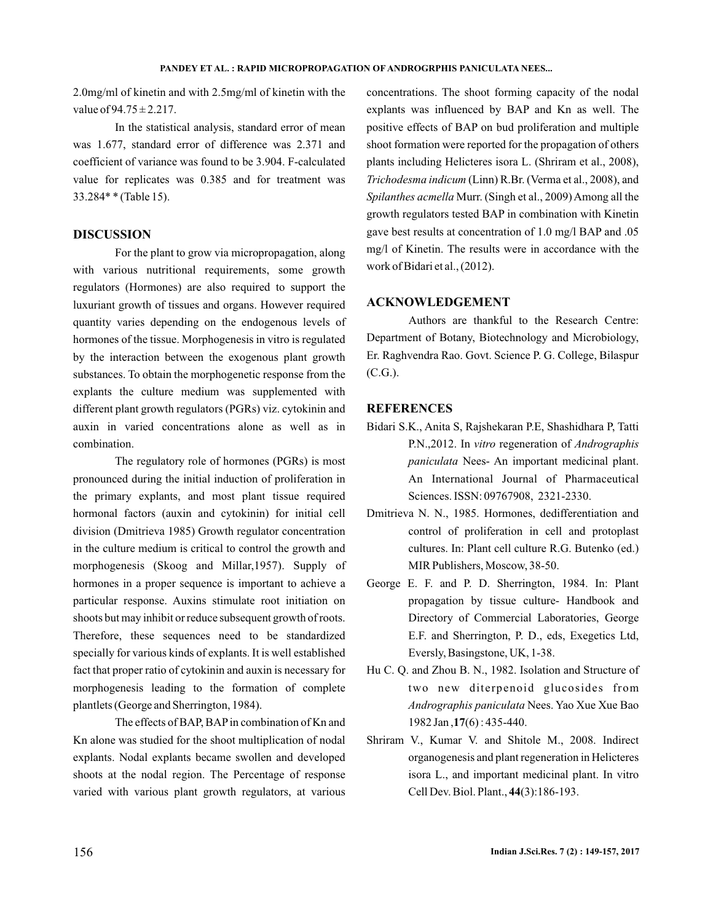2.0mg/ml of kinetin and with 2.5mg/ml of kinetin with the value of  $94.75 \pm 2.217$ .

In the statistical analysis, standard error of mean was 1.677, standard error of difference was 2.371 and coefficient of variance was found to be 3.904. F-calculated value for replicates was 0.385 and for treatment was 33.284\* \* (Table 15).

### **DISCUSSION**

For the plant to grow via micropropagation, along with various nutritional requirements, some growth regulators (Hormones) are also required to support the luxuriant growth of tissues and organs. However required quantity varies depending on the endogenous levels of hormones of the tissue. Morphogenesis in vitro is regulated by the interaction between the exogenous plant growth substances. To obtain the morphogenetic response from the explants the culture medium was supplemented with different plant growth regulators (PGRs) viz. cytokinin and auxin in varied concentrations alone as well as in combination.

The regulatory role of hormones (PGRs) is most pronounced during the initial induction of proliferation in the primary explants, and most plant tissue required hormonal factors (auxin and cytokinin) for initial cell division (Dmitrieva 1985) Growth regulator concentration in the culture medium is critical to control the growth and morphogenesis (Skoog and Millar,1957). Supply of hormones in a proper sequence is important to achieve a particular response. Auxins stimulate root initiation on shoots but may inhibit or reduce subsequent growth of roots. Therefore, these sequences need to be standardized specially for various kinds of explants. It is well established fact that proper ratio of cytokinin and auxin is necessary for morphogenesis leading to the formation of complete plantlets (George and Sherrington, 1984).

The effects of BAP, BAP in combination of Kn and Kn alone was studied for the shoot multiplication of nodal explants. Nodal explants became swollen and developed shoots at the nodal region. The Percentage of response varied with various plant growth regulators, at various

concentrations. The shoot forming capacity of the nodal explants was influenced by BAP and Kn as well. The positive effects of BAP on bud proliferation and multiple shoot formation were reported for the propagation of others plants including Helicteres isora L. (Shriram et al., 2008), (Linn) R.Br. (Verma et al., 2008), and *Trichodesma indicum* Spilanthes acmella Murr. (Singh et al., 2009) Among all the growth regulators tested BAP in combination with Kinetin gave best results at concentration of 1.0 mg/l BAP and .05 mg/l of Kinetin. The results were in accordance with the work of Bidari et al., (2012).

### **ACKNOWLEDGEMENT**

Authors are thankful to the Research Centre: Department of Botany, Biotechnology and Microbiology, Er. Raghvendra Rao. Govt. Science P. G. College, Bilaspur (C.G.).

### **REFERENCES**

- Bidari S.K., Anita S, Rajshekaran P.E, Shashidhara P, Tatti P.N.,2012. In vitro regeneration of *Andrographis* paniculata Nees- An important medicinal plant. An International Journal of Pharmaceutical Sciences. ISSN: 09767908, 2321-2330.
- Dmitrieva N. N., 1985. Hormones, dedifferentiation and control of proliferation in cell and protoplast cultures. In: Plant cell culture R.G. Butenko (ed.) MIR Publishers, Moscow, 38-50.
- George E. F. and P. D. Sherrington, 1984. In: Plant propagation by tissue culture- Handbook and Directory of Commercial Laboratories, George E.F. and Sherrington, P. D., eds, Exegetics Ltd, Eversly, Basingstone, UK, 1-38.
- Hu C. Q. and Zhou B. N., 1982. Isolation and Structure of two new diterpenoid glucosides from Andrographis paniculata Nees. Yao Xue Xue Bao 1982 Jan, 17(6): 435-440.
- Shriram V., Kumar V. and Shitole M., 2008. Indirect organogenesis and plant regeneration in Helicteres isora L., and important medicinal plant. In vitro Cell Dev. Biol. Plant., 44(3):186-193.